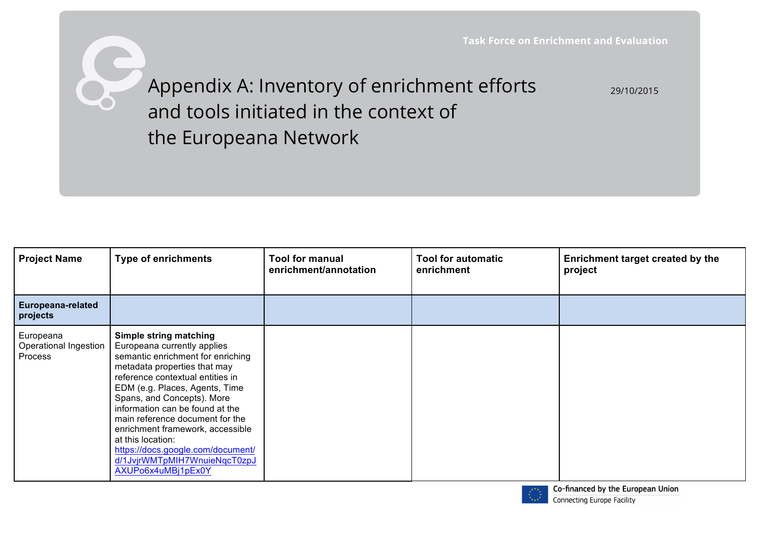29/10/2015

Appendix A: Inventory of enrichment efforts and tools initiated in the context of the Europeana Network

Ò

| <b>Project Name</b>                           | <b>Type of enrichments</b>                                                                                                                                                                                                                                                                                                                                                                                                                               | <b>Tool for manual</b><br>enrichment/annotation | <b>Tool for automatic</b><br>enrichment | Enrichment target created by the<br>project |
|-----------------------------------------------|----------------------------------------------------------------------------------------------------------------------------------------------------------------------------------------------------------------------------------------------------------------------------------------------------------------------------------------------------------------------------------------------------------------------------------------------------------|-------------------------------------------------|-----------------------------------------|---------------------------------------------|
| Europeana-related<br>projects                 |                                                                                                                                                                                                                                                                                                                                                                                                                                                          |                                                 |                                         |                                             |
| Europeana<br>Operational Ingestion<br>Process | Simple string matching<br>Europeana currently applies<br>semantic enrichment for enriching<br>metadata properties that may<br>reference contextual entities in<br>EDM (e.g. Places, Agents, Time<br>Spans, and Concepts). More<br>information can be found at the<br>main reference document for the<br>enrichment framework, accessible<br>at this location:<br>https://docs.google.com/document/<br>d/1JvjrWMTpMIH7WnuieNqcT0zpJ<br>AXUPo6x4uMBj1pEx0Y |                                                 |                                         |                                             |

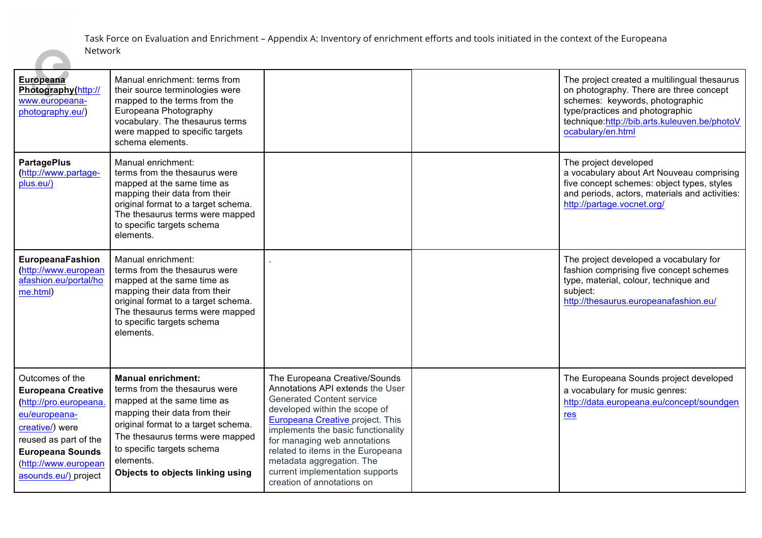| <b>Europeana</b><br>Photography(http://<br>www.europeana-<br>photography.eu/)                                                                                                                                  | Manual enrichment: terms from<br>their source terminologies were<br>mapped to the terms from the<br>Europeana Photography<br>vocabulary. The thesaurus terms<br>were mapped to specific targets<br>schema elements.                                                                |                                                                                                                                                                                                                                                                                                                                                                                            | The project created a multilingual thesaurus<br>on photography. There are three concept<br>schemes: keywords, photographic<br>type/practices and photographic<br>technique:http://bib.arts.kuleuven.be/photoV<br>ocabulary/en.html |
|----------------------------------------------------------------------------------------------------------------------------------------------------------------------------------------------------------------|------------------------------------------------------------------------------------------------------------------------------------------------------------------------------------------------------------------------------------------------------------------------------------|--------------------------------------------------------------------------------------------------------------------------------------------------------------------------------------------------------------------------------------------------------------------------------------------------------------------------------------------------------------------------------------------|------------------------------------------------------------------------------------------------------------------------------------------------------------------------------------------------------------------------------------|
| <b>PartagePlus</b><br>(http://www.partage-<br>plus.eu/)                                                                                                                                                        | Manual enrichment:<br>terms from the thesaurus were<br>mapped at the same time as<br>mapping their data from their<br>original format to a target schema.<br>The thesaurus terms were mapped<br>to specific targets schema<br>elements.                                            |                                                                                                                                                                                                                                                                                                                                                                                            | The project developed<br>a vocabulary about Art Nouveau comprising<br>five concept schemes: object types, styles<br>and periods, actors, materials and activities:<br>http://partage.vocnet.org/                                   |
| EuropeanaFashion<br>(http://www.european<br>afashion.eu/portal/ho<br>me.html)                                                                                                                                  | Manual enrichment:<br>terms from the thesaurus were<br>mapped at the same time as<br>mapping their data from their<br>original format to a target schema.<br>The thesaurus terms were mapped<br>to specific targets schema<br>elements.                                            |                                                                                                                                                                                                                                                                                                                                                                                            | The project developed a vocabulary for<br>fashion comprising five concept schemes<br>type, material, colour, technique and<br>subject:<br>http://thesaurus.europeanafashion.eu/                                                    |
| Outcomes of the<br><b>Europeana Creative</b><br>(http://pro.europeana.<br>eu/europeana-<br>creative/) were<br>reused as part of the<br><b>Europeana Sounds</b><br>(http://www.european<br>asounds.eu/) project | <b>Manual enrichment:</b><br>terms from the thesaurus were<br>mapped at the same time as<br>mapping their data from their<br>original format to a target schema.<br>The thesaurus terms were mapped<br>to specific targets schema<br>elements.<br>Objects to objects linking using | The Europeana Creative/Sounds<br>Annotations API extends the User<br><b>Generated Content service</b><br>developed within the scope of<br><b>Europeana Creative project. This</b><br>implements the basic functionality<br>for managing web annotations<br>related to items in the Europeana<br>metadata aggregation. The<br>current implementation supports<br>creation of annotations on | The Europeana Sounds project developed<br>a vocabulary for music genres:<br>http://data.europeana.eu/concept/soundgen<br>res                                                                                                       |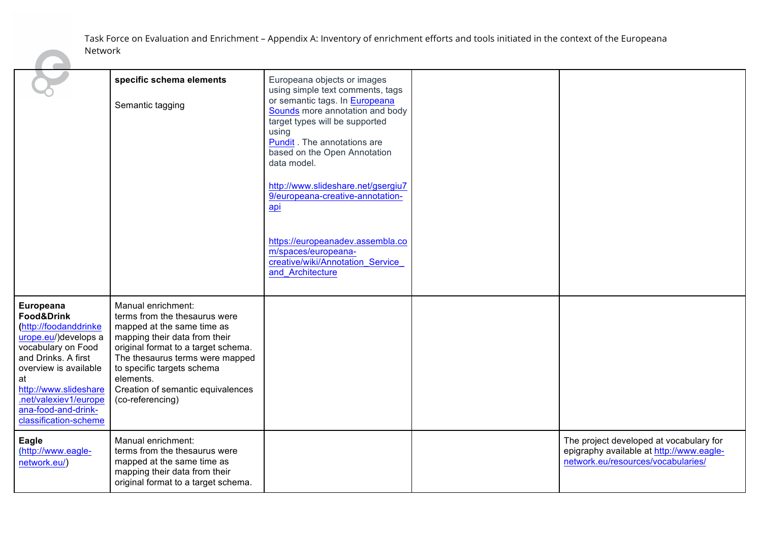|                                                                                                                                                                                                                                                                   | specific schema elements<br>Semantic tagging                                                                                                                                                                                                                                                     | Europeana objects or images<br>using simple text comments, tags<br>or semantic tags. In Europeana<br>Sounds more annotation and body<br>target types will be supported<br>using<br>Pundit. The annotations are<br>based on the Open Annotation<br>data model.<br>http://www.slideshare.net/gsergiu7<br>9/europeana-creative-annotation-<br>api<br>https://europeanadev.assembla.co<br>m/spaces/europeana-<br>creative/wiki/Annotation Service<br>and Architecture |                                                                                                                           |
|-------------------------------------------------------------------------------------------------------------------------------------------------------------------------------------------------------------------------------------------------------------------|--------------------------------------------------------------------------------------------------------------------------------------------------------------------------------------------------------------------------------------------------------------------------------------------------|-------------------------------------------------------------------------------------------------------------------------------------------------------------------------------------------------------------------------------------------------------------------------------------------------------------------------------------------------------------------------------------------------------------------------------------------------------------------|---------------------------------------------------------------------------------------------------------------------------|
| Europeana<br><b>Food&amp;Drink</b><br>(http://foodanddrinke<br>urope.eu/)develops a<br>vocabulary on Food<br>and Drinks. A first<br>overview is available<br>at<br>http://www.slideshare<br>.net/valexiev1/europe<br>ana-food-and-drink-<br>classification-scheme | Manual enrichment:<br>terms from the thesaurus were<br>mapped at the same time as<br>mapping their data from their<br>original format to a target schema.<br>The thesaurus terms were mapped<br>to specific targets schema<br>elements.<br>Creation of semantic equivalences<br>(co-referencing) |                                                                                                                                                                                                                                                                                                                                                                                                                                                                   |                                                                                                                           |
| Eagle<br>(http://www.eagle-<br>network.eu/)                                                                                                                                                                                                                       | Manual enrichment:<br>terms from the thesaurus were<br>mapped at the same time as<br>mapping their data from their<br>original format to a target schema.                                                                                                                                        |                                                                                                                                                                                                                                                                                                                                                                                                                                                                   | The project developed at vocabulary for<br>epigraphy available at http://www.eagle-<br>network.eu/resources/vocabularies/ |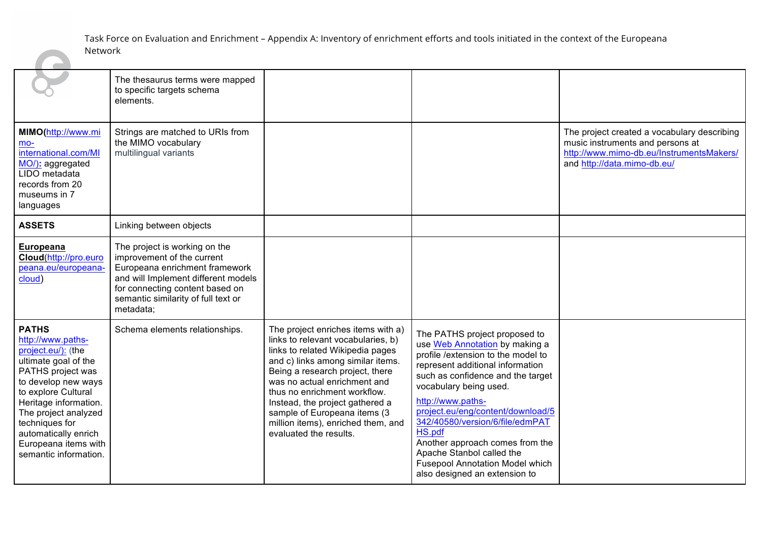|                                                                                                                                                                                                                                                                                                | The thesaurus terms were mapped<br>to specific targets schema<br>elements.                                                                                                                                                  |                                                                                                                                                                                                                                                                                                                                                                                         |                                                                                                                                                                                                                                                                                                                                                                                                                                                             |                                                                                                                                                            |
|------------------------------------------------------------------------------------------------------------------------------------------------------------------------------------------------------------------------------------------------------------------------------------------------|-----------------------------------------------------------------------------------------------------------------------------------------------------------------------------------------------------------------------------|-----------------------------------------------------------------------------------------------------------------------------------------------------------------------------------------------------------------------------------------------------------------------------------------------------------------------------------------------------------------------------------------|-------------------------------------------------------------------------------------------------------------------------------------------------------------------------------------------------------------------------------------------------------------------------------------------------------------------------------------------------------------------------------------------------------------------------------------------------------------|------------------------------------------------------------------------------------------------------------------------------------------------------------|
| MIMO(http://www.mi<br>$mo-$<br>international.com/MI<br>MO/): aggregated<br>LIDO metadata<br>records from 20<br>museums in 7<br>languages                                                                                                                                                       | Strings are matched to URIs from<br>the MIMO vocabulary<br>multilingual variants                                                                                                                                            |                                                                                                                                                                                                                                                                                                                                                                                         |                                                                                                                                                                                                                                                                                                                                                                                                                                                             | The project created a vocabulary describing<br>music instruments and persons at<br>http://www.mimo-db.eu/InstrumentsMakers/<br>and http://data.mimo-db.eu/ |
| <b>ASSETS</b>                                                                                                                                                                                                                                                                                  | Linking between objects                                                                                                                                                                                                     |                                                                                                                                                                                                                                                                                                                                                                                         |                                                                                                                                                                                                                                                                                                                                                                                                                                                             |                                                                                                                                                            |
| Europeana<br>Cloud(http://pro.euro<br>peana.eu/europeana-<br>cloud)                                                                                                                                                                                                                            | The project is working on the<br>improvement of the current<br>Europeana enrichment framework<br>and will Implement different models<br>for connecting content based on<br>semantic similarity of full text or<br>metadata; |                                                                                                                                                                                                                                                                                                                                                                                         |                                                                                                                                                                                                                                                                                                                                                                                                                                                             |                                                                                                                                                            |
| <b>PATHS</b><br>http://www.paths-<br>project.eu/): (the<br>ultimate goal of the<br>PATHS project was<br>to develop new ways<br>to explore Cultural<br>Heritage information.<br>The project analyzed<br>techniques for<br>automatically enrich<br>Europeana items with<br>semantic information. | Schema elements relationships.                                                                                                                                                                                              | The project enriches items with a)<br>links to relevant vocabularies, b)<br>links to related Wikipedia pages<br>and c) links among similar items.<br>Being a research project, there<br>was no actual enrichment and<br>thus no enrichment workflow.<br>Instead, the project gathered a<br>sample of Europeana items (3<br>million items), enriched them, and<br>evaluated the results. | The PATHS project proposed to<br>use Web Annotation by making a<br>profile / extension to the model to<br>represent additional information<br>such as confidence and the target<br>vocabulary being used.<br>http://www.paths-<br>project.eu/eng/content/download/5<br>342/40580/version/6/file/edmPAT<br>HS.pdf<br>Another approach comes from the<br>Apache Stanbol called the<br><b>Fusepool Annotation Model which</b><br>also designed an extension to |                                                                                                                                                            |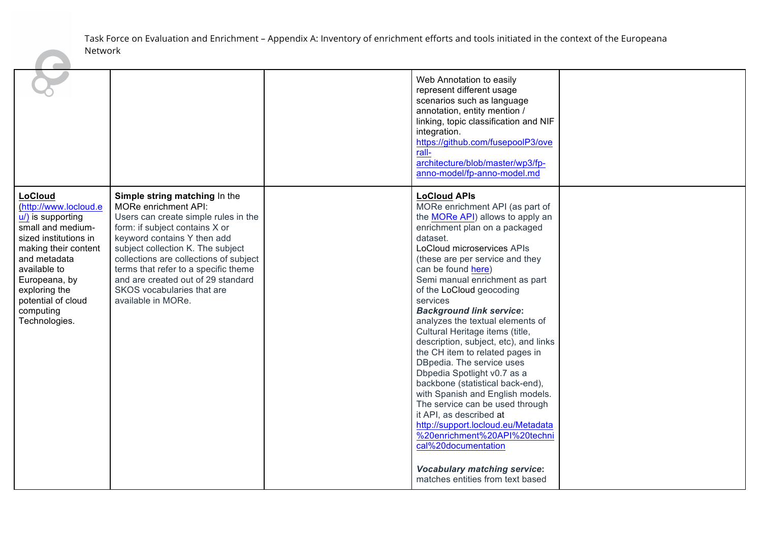|                                                                                                                                                                                                                                                            |                                                                                                                                                                                                                                                                                                                                                                                 | Web Annotation to easily<br>represent different usage<br>scenarios such as language<br>annotation, entity mention /<br>linking, topic classification and NIF<br>integration.<br>https://github.com/fusepoolP3/ove<br>rall-<br>architecture/blob/master/wp3/fp-<br>anno-model/fp-anno-model.md                                                                                                                                                                                                                                                                                                                                                                                                                                                                                                                                                                                    |  |
|------------------------------------------------------------------------------------------------------------------------------------------------------------------------------------------------------------------------------------------------------------|---------------------------------------------------------------------------------------------------------------------------------------------------------------------------------------------------------------------------------------------------------------------------------------------------------------------------------------------------------------------------------|----------------------------------------------------------------------------------------------------------------------------------------------------------------------------------------------------------------------------------------------------------------------------------------------------------------------------------------------------------------------------------------------------------------------------------------------------------------------------------------------------------------------------------------------------------------------------------------------------------------------------------------------------------------------------------------------------------------------------------------------------------------------------------------------------------------------------------------------------------------------------------|--|
| <b>LoCloud</b><br>(http://www.locloud.e<br>$u$ ) is supporting<br>small and medium-<br>sized institutions in<br>making their content<br>and metadata<br>available to<br>Europeana, by<br>exploring the<br>potential of cloud<br>computing<br>Technologies. | Simple string matching In the<br>MORe enrichment API:<br>Users can create simple rules in the<br>form: if subject contains X or<br>keyword contains Y then add<br>subject collection K. The subject<br>collections are collections of subject<br>terms that refer to a specific theme<br>and are created out of 29 standard<br>SKOS vocabularies that are<br>available in MORe. | <b>LoCloud APIs</b><br>MORe enrichment API (as part of<br>the <b>MORe API</b> ) allows to apply an<br>enrichment plan on a packaged<br>dataset.<br>LoCloud microservices APIs<br>(these are per service and they<br>can be found here)<br>Semi manual enrichment as part<br>of the LoCloud geocoding<br>services<br><b>Background link service:</b><br>analyzes the textual elements of<br>Cultural Heritage items (title,<br>description, subject, etc), and links<br>the CH item to related pages in<br>DBpedia. The service uses<br>Dbpedia Spotlight v0.7 as a<br>backbone (statistical back-end),<br>with Spanish and English models.<br>The service can be used through<br>it API, as described at<br>http://support.locloud.eu/Metadata<br>%20enrichment%20API%20techni<br>cal%20documentation<br><b>Vocabulary matching service:</b><br>matches entities from text based |  |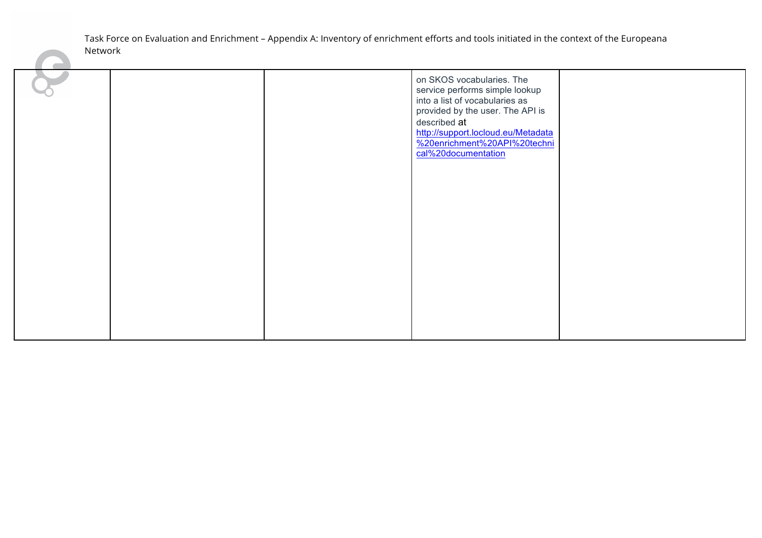|  | on SKOS vocabularies. The<br>service performs simple lookup<br>into a list of vocabularies as<br>provided by the user. The API is<br>described at<br>http://support.locloud.eu/Metadata<br>%20enrichment%20API%20techni<br>cal%20documentation |  |
|--|------------------------------------------------------------------------------------------------------------------------------------------------------------------------------------------------------------------------------------------------|--|
|  |                                                                                                                                                                                                                                                |  |
|  |                                                                                                                                                                                                                                                |  |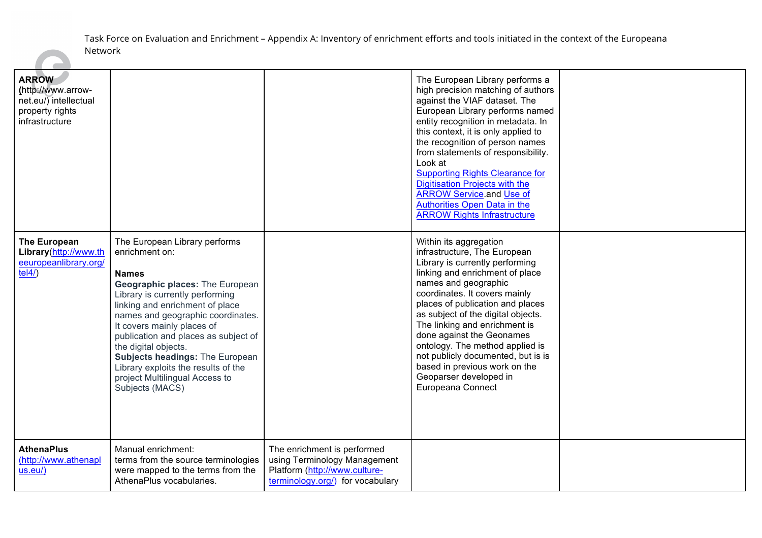| <b>ARROW</b><br>(http://www.arrow-<br>$net.eu/\bar{)}$ intellectual<br>property rights<br>infrastructure |                                                                                                                                                                                                                                                                                                                                                                                                                                                          |                                                                                                                                  | The European Library performs a<br>high precision matching of authors<br>against the VIAF dataset. The<br>European Library performs named<br>entity recognition in metadata. In<br>this context, it is only applied to<br>the recognition of person names<br>from statements of responsibility.<br>Look at<br><b>Supporting Rights Clearance for</b><br><b>Digitisation Projects with the</b><br><b>ARROW Service.and Use of</b><br>Authorities Open Data in the<br><b>ARROW Rights Infrastructure</b> |  |
|----------------------------------------------------------------------------------------------------------|----------------------------------------------------------------------------------------------------------------------------------------------------------------------------------------------------------------------------------------------------------------------------------------------------------------------------------------------------------------------------------------------------------------------------------------------------------|----------------------------------------------------------------------------------------------------------------------------------|--------------------------------------------------------------------------------------------------------------------------------------------------------------------------------------------------------------------------------------------------------------------------------------------------------------------------------------------------------------------------------------------------------------------------------------------------------------------------------------------------------|--|
| The European<br>Library(http://www.th<br>eeuropeanlibrary.org/<br>tel4/                                  | The European Library performs<br>enrichment on:<br><b>Names</b><br><b>Geographic places: The European</b><br>Library is currently performing<br>linking and enrichment of place<br>names and geographic coordinates.<br>It covers mainly places of<br>publication and places as subject of<br>the digital objects.<br><b>Subjects headings: The European</b><br>Library exploits the results of the<br>project Multilingual Access to<br>Subjects (MACS) |                                                                                                                                  | Within its aggregation<br>infrastructure, The European<br>Library is currently performing<br>linking and enrichment of place<br>names and geographic<br>coordinates. It covers mainly<br>places of publication and places<br>as subject of the digital objects.<br>The linking and enrichment is<br>done against the Geonames<br>ontology. The method applied is<br>not publicly documented, but is is<br>based in previous work on the<br>Geoparser developed in<br>Europeana Connect                 |  |
| <b>AthenaPlus</b><br>(http://www.athenapl<br>$us.eu$ )                                                   | Manual enrichment:<br>terms from the source terminologies<br>were mapped to the terms from the<br>AthenaPlus vocabularies.                                                                                                                                                                                                                                                                                                                               | The enrichment is performed<br>using Terminology Management<br>Platform (http://www.culture-<br>terminology.org/) for vocabulary |                                                                                                                                                                                                                                                                                                                                                                                                                                                                                                        |  |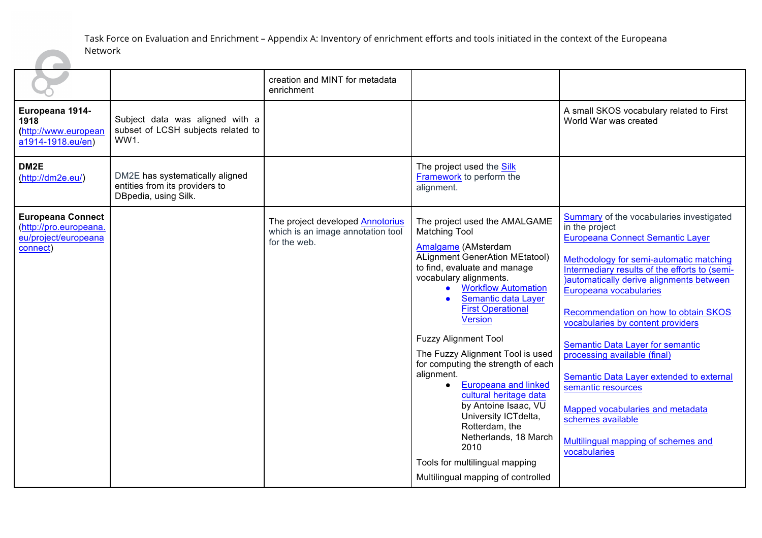|                                                                                        |                                                                                           | creation and MINT for metadata<br>enrichment                                          |                                                                                                                                                                                                                                                                                                                                                                                                                                                                                                                                                                                                                                                            |                                                                                                                                                                                                                                                                                                                                                                                                                                                                                                                                                                                                            |
|----------------------------------------------------------------------------------------|-------------------------------------------------------------------------------------------|---------------------------------------------------------------------------------------|------------------------------------------------------------------------------------------------------------------------------------------------------------------------------------------------------------------------------------------------------------------------------------------------------------------------------------------------------------------------------------------------------------------------------------------------------------------------------------------------------------------------------------------------------------------------------------------------------------------------------------------------------------|------------------------------------------------------------------------------------------------------------------------------------------------------------------------------------------------------------------------------------------------------------------------------------------------------------------------------------------------------------------------------------------------------------------------------------------------------------------------------------------------------------------------------------------------------------------------------------------------------------|
| Europeana 1914-<br>1918<br>(http://www.european<br>a1914-1918.eu/en)                   | Subject data was aligned with a<br>subset of LCSH subjects related to<br>WW1.             |                                                                                       |                                                                                                                                                                                                                                                                                                                                                                                                                                                                                                                                                                                                                                                            | A small SKOS vocabulary related to First<br>World War was created                                                                                                                                                                                                                                                                                                                                                                                                                                                                                                                                          |
| DM <sub>2</sub> E<br>(htp://dm2e.eu/)                                                  | DM2E has systematically aligned<br>entities from its providers to<br>DBpedia, using Silk. |                                                                                       | The project used the <b>Silk</b><br>Framework to perform the<br>alignment.                                                                                                                                                                                                                                                                                                                                                                                                                                                                                                                                                                                 |                                                                                                                                                                                                                                                                                                                                                                                                                                                                                                                                                                                                            |
| <b>Europeana Connect</b><br>(http://pro.europeana.<br>eu/project/europeana<br>connect) |                                                                                           | The project developed Annotorius<br>which is an image annotation tool<br>for the web. | The project used the AMALGAME<br><b>Matching Tool</b><br>Amalgame (AMsterdam<br><b>ALignment GenerAtion MEtatool)</b><br>to find, evaluate and manage<br>vocabulary alignments.<br><b>Workflow Automation</b><br>$\bullet$<br>Semantic data Layer<br><b>First Operational</b><br><b>Version</b><br><b>Fuzzy Alignment Tool</b><br>The Fuzzy Alignment Tool is used<br>for computing the strength of each<br>alignment.<br><b>Europeana and linked</b><br>cultural heritage data<br>by Antoine Isaac, VU<br>University ICTdelta,<br>Rotterdam, the<br>Netherlands, 18 March<br>2010<br>Tools for multilingual mapping<br>Multilingual mapping of controlled | Summary of the vocabularies investigated<br>in the project<br>Europeana Connect Semantic Layer<br>Methodology for semi-automatic matching<br>Intermediary results of the efforts to (semi-<br>)automatically derive alignments between<br>Europeana vocabularies<br>Recommendation on how to obtain SKOS<br>vocabularies by content providers<br><b>Semantic Data Layer for semantic</b><br>processing available (final)<br>Semantic Data Layer extended to external<br>semantic resources<br>Mapped vocabularies and metadata<br>schemes available<br>Multilingual mapping of schemes and<br>vocabularies |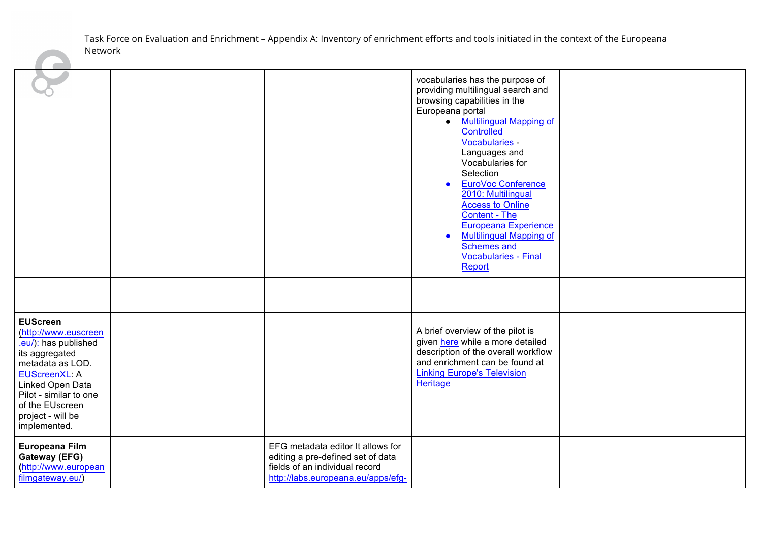|                                                                                                                                                                                                                                     |                                                                                                                                                | vocabularies has the purpose of<br>providing multilingual search and<br>browsing capabilities in the<br>Europeana portal<br>• Multilingual Mapping of<br><b>Controlled</b><br>Vocabularies -<br>Languages and<br>Vocabularies for<br>Selection<br><b>EuroVoc Conference</b><br>2010: Multilingual<br><b>Access to Online</b><br>Content - The<br><b>Europeana Experience</b><br><b>Multilingual Mapping of</b><br>$\bullet$<br>Schemes and<br>Vocabularies - Final<br>Report |  |
|-------------------------------------------------------------------------------------------------------------------------------------------------------------------------------------------------------------------------------------|------------------------------------------------------------------------------------------------------------------------------------------------|------------------------------------------------------------------------------------------------------------------------------------------------------------------------------------------------------------------------------------------------------------------------------------------------------------------------------------------------------------------------------------------------------------------------------------------------------------------------------|--|
| <b>EUScreen</b><br>(http://www.euscreen<br>.eu/): has published<br>its aggregated<br>metadata as LOD.<br><b>EUScreenXL: A</b><br>Linked Open Data<br>Pilot - similar to one<br>of the EUscreen<br>project - will be<br>implemented. |                                                                                                                                                | A brief overview of the pilot is<br>given here while a more detailed<br>description of the overall workflow<br>and enrichment can be found at<br><b>Linking Europe's Television</b><br>Heritage                                                                                                                                                                                                                                                                              |  |
| Europeana Film<br>Gateway (EFG)<br>(http://www.european<br>filmgateway.eu/)                                                                                                                                                         | EFG metadata editor It allows for<br>editing a pre-defined set of data<br>fields of an individual record<br>http://labs.europeana.eu/apps/efg- |                                                                                                                                                                                                                                                                                                                                                                                                                                                                              |  |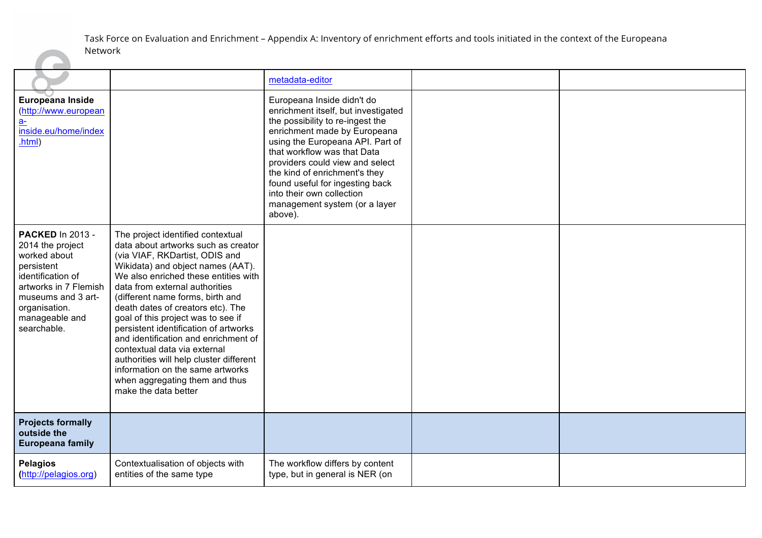<u>a ma</u>

|                                                                                                                                                                                                 |                                                                                                                                                                                                                                                                                                                                                                                                                                                                                                                                                                                                    | metadata-editor                                                                                                                                                                                                                                                                                                                                                                          |  |
|-------------------------------------------------------------------------------------------------------------------------------------------------------------------------------------------------|----------------------------------------------------------------------------------------------------------------------------------------------------------------------------------------------------------------------------------------------------------------------------------------------------------------------------------------------------------------------------------------------------------------------------------------------------------------------------------------------------------------------------------------------------------------------------------------------------|------------------------------------------------------------------------------------------------------------------------------------------------------------------------------------------------------------------------------------------------------------------------------------------------------------------------------------------------------------------------------------------|--|
| <b>Europeana Inside</b><br>(http://www.european<br>$a-$<br>inside.eu/home/index<br>.html)                                                                                                       |                                                                                                                                                                                                                                                                                                                                                                                                                                                                                                                                                                                                    | Europeana Inside didn't do<br>enrichment itself, but investigated<br>the possibility to re-ingest the<br>enrichment made by Europeana<br>using the Europeana API. Part of<br>that workflow was that Data<br>providers could view and select<br>the kind of enrichment's they<br>found useful for ingesting back<br>into their own collection<br>management system (or a layer<br>above). |  |
| <b>PACKED In 2013 -</b><br>2014 the project<br>worked about<br>persistent<br>identification of<br>artworks in 7 Flemish<br>museums and 3 art-<br>organisation.<br>manageable and<br>searchable. | The project identified contextual<br>data about artworks such as creator<br>(via VIAF, RKDartist, ODIS and<br>Wikidata) and object names (AAT).<br>We also enriched these entities with<br>data from external authorities<br>(different name forms, birth and<br>death dates of creators etc). The<br>goal of this project was to see if<br>persistent identification of artworks<br>and identification and enrichment of<br>contextual data via external<br>authorities will help cluster different<br>information on the same artworks<br>when aggregating them and thus<br>make the data better |                                                                                                                                                                                                                                                                                                                                                                                          |  |
| <b>Projects formally</b><br>outside the<br><b>Europeana family</b>                                                                                                                              |                                                                                                                                                                                                                                                                                                                                                                                                                                                                                                                                                                                                    |                                                                                                                                                                                                                                                                                                                                                                                          |  |
| <b>Pelagios</b><br>(http://pelagios.org)                                                                                                                                                        | Contextualisation of objects with<br>entities of the same type                                                                                                                                                                                                                                                                                                                                                                                                                                                                                                                                     | The workflow differs by content<br>type, but in general is NER (on                                                                                                                                                                                                                                                                                                                       |  |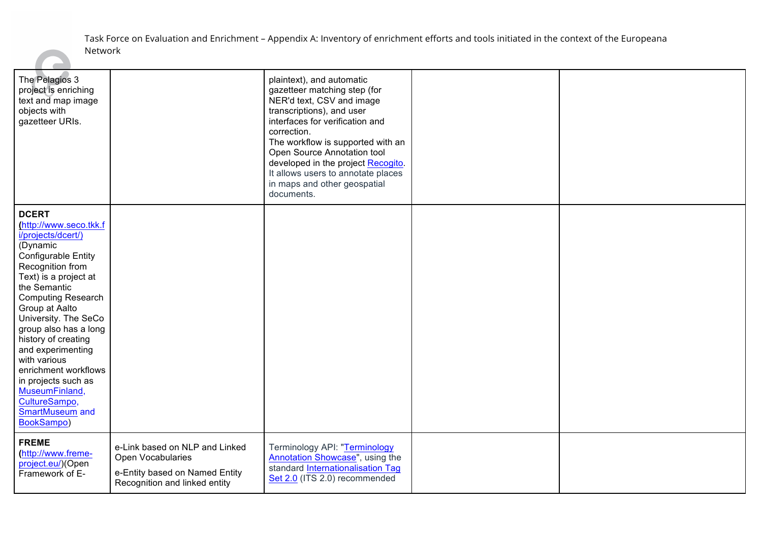| The Pelagios 3<br>project is enriching<br>text and map image<br>objects with<br>gazetteer URIs.                                                                                                                                                                                                                                                                                                                                                           |                                                                                                                        | plaintext), and automatic<br>gazetteer matching step (for<br>NER'd text, CSV and image<br>transcriptions), and user<br>interfaces for verification and<br>correction.<br>The workflow is supported with an<br>Open Source Annotation tool<br>developed in the project Recogito.<br>It allows users to annotate places<br>in maps and other geospatial<br>documents. |  |
|-----------------------------------------------------------------------------------------------------------------------------------------------------------------------------------------------------------------------------------------------------------------------------------------------------------------------------------------------------------------------------------------------------------------------------------------------------------|------------------------------------------------------------------------------------------------------------------------|---------------------------------------------------------------------------------------------------------------------------------------------------------------------------------------------------------------------------------------------------------------------------------------------------------------------------------------------------------------------|--|
| <b>DCERT</b><br>(http://www.seco.tkk.f<br>i/projects/dcert/)<br>(Dynamic<br><b>Configurable Entity</b><br>Recognition from<br>Text) is a project at<br>the Semantic<br><b>Computing Research</b><br>Group at Aalto<br>University. The SeCo<br>group also has a long<br>history of creating<br>and experimenting<br>with various<br>enrichment workflows<br>in projects such as<br>MuseumFinland,<br>CultureSampo,<br><b>SmartMuseum and</b><br>BookSampo) |                                                                                                                        |                                                                                                                                                                                                                                                                                                                                                                     |  |
| <b>FREME</b><br>(http://www.freme-<br>project.eu/)(Open<br>Framework of E-                                                                                                                                                                                                                                                                                                                                                                                | e-Link based on NLP and Linked<br>Open Vocabularies<br>e-Entity based on Named Entity<br>Recognition and linked entity | Terminology API: "Terminology<br>Annotation Showcase", using the<br>standard <b>Internationalisation Tag</b><br>Set 2.0 (ITS 2.0) recommended                                                                                                                                                                                                                       |  |